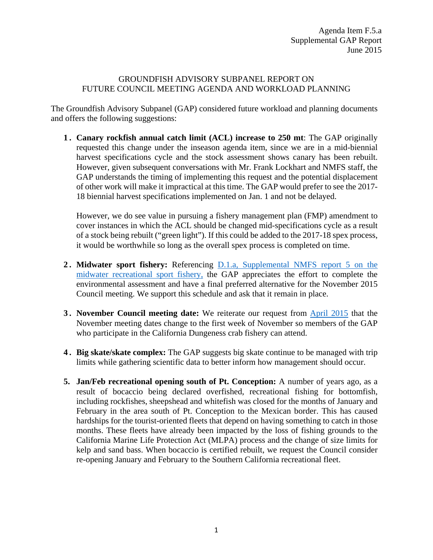## GROUNDFISH ADVISORY SUBPANEL REPORT ON FUTURE COUNCIL MEETING AGENDA AND WORKLOAD PLANNING

The Groundfish Advisory Subpanel (GAP) considered future workload and planning documents and offers the following suggestions:

**1 . Canary rockfish annual catch limit (ACL) increase to 250 mt**: The GAP originally requested this change under the inseason agenda item, since we are in a mid-biennial harvest specifications cycle and the stock assessment shows canary has been rebuilt. However, given subsequent conversations with Mr. Frank Lockhart and NMFS staff, the GAP understands the timing of implementing this request and the potential displacement of other work will make it impractical at this time. The GAP would prefer to see the 2017- 18 biennial harvest specifications implemented on Jan. 1 and not be delayed.

However, we do see value in pursuing a fishery management plan (FMP) amendment to cover instances in which the ACL should be changed mid-specifications cycle as a result of a stock being rebuilt ("green light"). If this could be added to the 2017-18 spex process, it would be worthwhile so long as the overall spex process is completed on time.

- **2 . Midwater sport fishery:** Referencing [D.1.a, Supplemental NMFS report 5 on the](http://www.pcouncil.org/wp-content/uploads/2015/06/D1a_Sup_NMFS_Rpt5_JUN2015BB.pdf)  [midwater recreational sport fishery,](http://www.pcouncil.org/wp-content/uploads/2015/06/D1a_Sup_NMFS_Rpt5_JUN2015BB.pdf) the GAP appreciates the effort to complete the environmental assessment and have a final preferred alternative for the November 2015 Council meeting. We support this schedule and ask that it remain in place.
- **3.** November Council meeting date: We reiterate our request from **April 2015** that the November meeting dates change to the first week of November so members of the GAP who participate in the California Dungeness crab fishery can attend.
- **4 . Big skate/skate complex:** The GAP suggests big skate continue to be managed with trip limits while gathering scientific data to better inform how management should occur.
- **5. Jan/Feb recreational opening south of Pt. Conception:** A number of years ago, as a result of bocaccio being declared overfished, recreational fishing for bottomfish, including rockfishes, sheepshead and whitefish was closed for the months of January and February in the area south of Pt. Conception to the Mexican border. This has caused hardships for the tourist-oriented fleets that depend on having something to catch in those months. These fleets have already been impacted by the loss of fishing grounds to the California Marine Life Protection Act (MLPA) process and the change of size limits for kelp and sand bass. When bocaccio is certified rebuilt, we request the Council consider re-opening January and February to the Southern California recreational fleet.